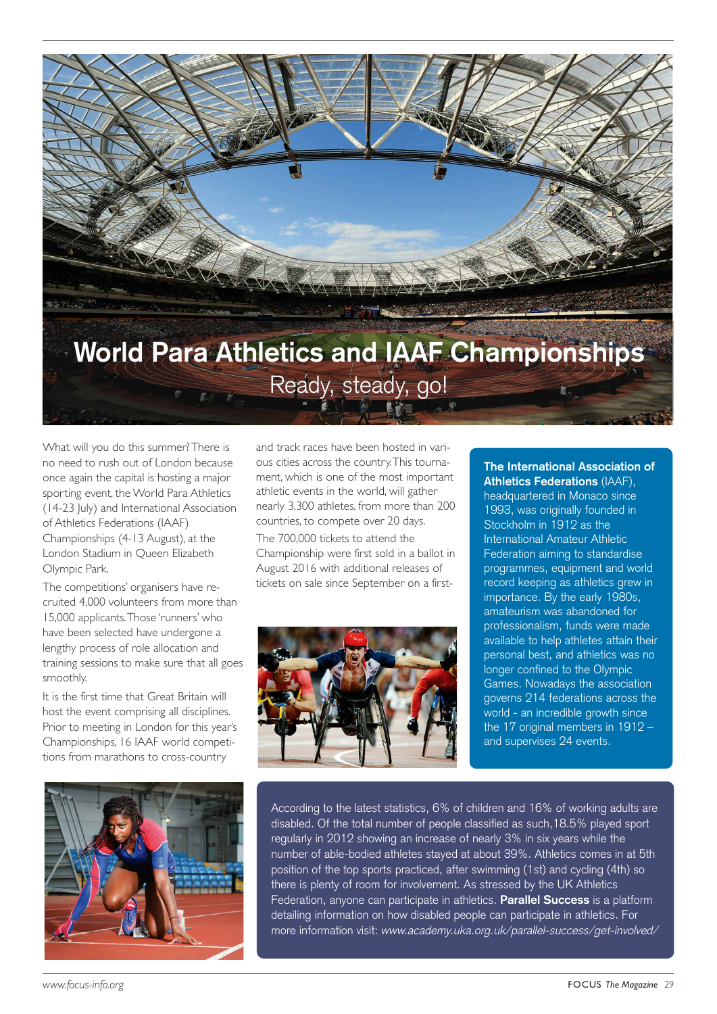

What will you do this summer?There is no need to rush out of London because once again the capital is hosting a major sporting event, the World Para Athletics (14-23 July) and International Association of Athletics Federations (IAAF) Championships (4-13 August), at the London Stadium in Queen Elizabeth Olympic Park.

The competitions' organisers have recruited 4,000 volunteers from more than 15,000 applicants.Those 'runners' who have been selected have undergone a lengthy process of role allocation and training sessions to make sure that all goes smoothly.

It is the first time that Great Britain will host the event comprising all disciplines. Prior to meeting in London for this year's Championships, 16 IAAF world competitions from marathons to cross-country

and track races have been hosted in various cities across the country.This tournament, which is one of the most important athletic events in the world, will gather nearly 3,300 athletes, from more than 200 countries, to compete over 20 days.

The 700,000 tickets to attend the Championship were first sold in a ballot in August 2016 with additional releases of tickets on sale since September on a first-



## **The International Association of Athletics Federations** (IAAF),

headquartered in Monaco since 1993, was originally founded in Stockholm in 1912 as the International Amateur Athletic Federation aiming to standardise programmes, equipment and world record keeping as athletics grew in importance. By the early 1980s, amateurism was abandoned for professionalism, funds were made available to help athletes attain their personal best, and athletics was no longer confined to the Olympic Games. Nowadays the association governs 214 federations across the world - an incredible growth since the 17 original members in 1912 – and supervises 24 events.



According to the latest statistics, 6% of children and 16% of working adults are disabled. Of the total number of people classified as such,18.5% played sport regularly in 2012 showing an increase of nearly 3% in six years while the number of able-bodied athletes stayed at about 39%. Athletics comes in at 5th position of the top sports practiced, after swimming (1st) and cycling (4th) so there is plenty of room for involvement. As stressed by the UK Athletics Federation, anyone can participate in athletics. **Parallel Success** is a platform detailing information on how disabled people can participate in athletics. For more information visit: www.academy.uka.org.uk/parallel-success/get-involved/